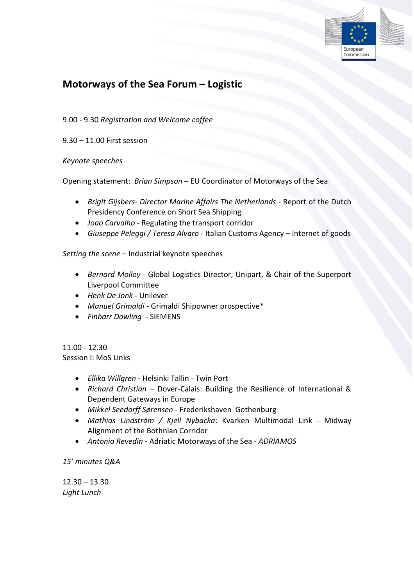

## **Motorways of the Sea Forum – Logistic**

9.00 - 9.30 *Registration and Welcome coffee*

9.30 – 11.00 First session

*Keynote speeches*

Opening statement: *Brian Simpson* – EU Coordinator of Motorways of the Sea

- *Brigit Gijsbers- Director Marine Affairs The Netherlands -* Report of the Dutch Presidency Conference on Short Sea Shipping
- *Joao Carvalho* Regulating the transport corridor
- *Giuseppe Peleggi / Teresa Alvaro* Italian Customs Agency Internet of goods

*Setting the scene* – Industrial keynote speeches

- *Bernard Molloy*  Global Logistics Director, Unipart, & Chair of the Superport Liverpool Committee
- *Henk De Jonk*  Unilever
- *Manuel Grimaldi* Grimaldi Shipowner prospective\*
- *Finbarr Dowling -* SIEMENS

11.00 - 12.30 Session I: MoS Links

- *Ellika Willgren* Helsinki Tallin Twin Port
- *Richard Christian*  Dover-Calais: Building the Resilience of International & Dependent Gateways in Europe
- *Mikkel Seedorff Sørensen -* Frederikshaven Gothenburg
- *Mathias Lindström / Kjell Nybacka*: Kvarken Multimodal Link Midway Alignment of the Bothnian Corridor
- *Antonio Revedin -* Adriatic Motorways of the Sea *ADRIAMOS*

*15' minutes Q&A*

 $12.30 - 13.30$ *Light Lunch*